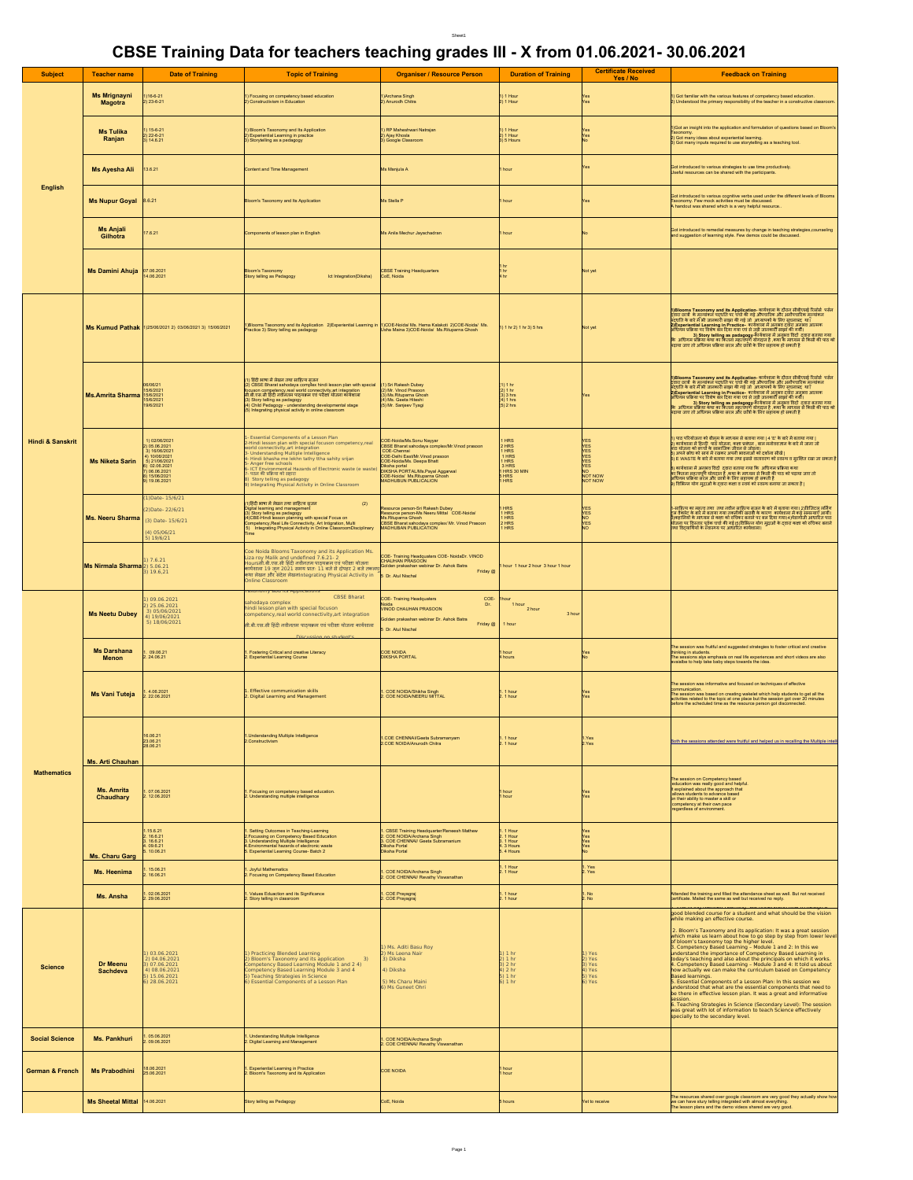## Sheet1

## **CBSE Training Data for teachers teaching grades III - X from 01.06.2021- 30.06.2021**

|                       | <b>Teacher name</b>                      |                                                                                                                  |                                                                                                                                                                                                                                                                                                                                                                                                                              | - -                                                                                                                                                                                                                                                  |                                                                                             | <b>Certificate Received</b>    | <b>Feedback on Training</b>                                                                                                                                                                                                                                                                                                                                                                                                                                                                                                                                                                                                                                                                                                                                                                                                                           |
|-----------------------|------------------------------------------|------------------------------------------------------------------------------------------------------------------|------------------------------------------------------------------------------------------------------------------------------------------------------------------------------------------------------------------------------------------------------------------------------------------------------------------------------------------------------------------------------------------------------------------------------|------------------------------------------------------------------------------------------------------------------------------------------------------------------------------------------------------------------------------------------------------|---------------------------------------------------------------------------------------------|--------------------------------|-------------------------------------------------------------------------------------------------------------------------------------------------------------------------------------------------------------------------------------------------------------------------------------------------------------------------------------------------------------------------------------------------------------------------------------------------------------------------------------------------------------------------------------------------------------------------------------------------------------------------------------------------------------------------------------------------------------------------------------------------------------------------------------------------------------------------------------------------------|
| <b>Subject</b>        |                                          | <b>Date of Training</b>                                                                                          | <b>Topic of Training</b>                                                                                                                                                                                                                                                                                                                                                                                                     | <b>Organiser / Resource Person</b>                                                                                                                                                                                                                   | <b>Duration of Training</b>                                                                 | Yes / No                       |                                                                                                                                                                                                                                                                                                                                                                                                                                                                                                                                                                                                                                                                                                                                                                                                                                                       |
|                       | <b>Ms Mrignayni</b><br><b>Magotra</b>    | $123 - 6 - 2$                                                                                                    | Focusing on competency based education<br>Constructivism in Education                                                                                                                                                                                                                                                                                                                                                        | Archana Singh<br>Anurodh Chitra                                                                                                                                                                                                                      | 1 Hour<br>1 Hour                                                                            |                                | Sot familiar with the various features of competency based education.<br>derstood the primary responsibility of the teacher in a constructive classro                                                                                                                                                                                                                                                                                                                                                                                                                                                                                                                                                                                                                                                                                                 |
|                       | <b>Ms Tulika</b><br>Ranjan               | 15-6-21<br>  22-6-21<br>0.14.6.21                                                                                | Bloom's Taxonomy and Its Application<br>!) Experiential Learning in practice<br>) Storytelling as a pedagogy                                                                                                                                                                                                                                                                                                                 | RP Maheshwari Natrajan<br>) Ajay Khosla<br>Google Classroom                                                                                                                                                                                          | 1 Hour<br>!) 1 Hour<br>!) 5 Hours                                                           |                                | Got an insight into the application and formulation of questions based on Bloom<br>.<br>I Got many ideas about experiential learning.<br>I Got many inputs required to use storytelling as a teaching tool.                                                                                                                                                                                                                                                                                                                                                                                                                                                                                                                                                                                                                                           |
| English               | Ms Ayesha Ali                            | 13.6.21                                                                                                          | ontent and Time Management                                                                                                                                                                                                                                                                                                                                                                                                   | ls Manjula A                                                                                                                                                                                                                                         |                                                                                             |                                | ot introduced to various strategies to use time productively.<br>seful resources can be shared with the participants.                                                                                                                                                                                                                                                                                                                                                                                                                                                                                                                                                                                                                                                                                                                                 |
|                       | Ms Nupur Goyal 8.6.21                    |                                                                                                                  | om's Taxonomy and Its Application                                                                                                                                                                                                                                                                                                                                                                                            | Is Stella P                                                                                                                                                                                                                                          |                                                                                             |                                | of introduced to various cognitive verbs used under the different levels of Bloom<br>axonomy. Few mock activities must be discussed.<br>Naxonomy. Few mock activities must be discussed.                                                                                                                                                                                                                                                                                                                                                                                                                                                                                                                                                                                                                                                              |
|                       | <b>Ms Anjali</b><br>Gilhotra             | .6.21                                                                                                            | omponents of lesson plan in English                                                                                                                                                                                                                                                                                                                                                                                          | Ms Anila Mechur Jayachadran                                                                                                                                                                                                                          |                                                                                             |                                | ot introduced to remedial measures by change in teaching strategies,counsel<br>nd suggestion of learning style. Few demos could be discussed.                                                                                                                                                                                                                                                                                                                                                                                                                                                                                                                                                                                                                                                                                                         |
|                       | Ms Damini Ahuja 07.06.2021               | 14.06.2021                                                                                                       | Bloom's Taxonomy<br>Story telling as Pedagogy<br>Ict Integration(Diksha)                                                                                                                                                                                                                                                                                                                                                     | <b>SSE Training Headquarters</b><br>CoE, Noida                                                                                                                                                                                                       |                                                                                             |                                |                                                                                                                                                                                                                                                                                                                                                                                                                                                                                                                                                                                                                                                                                                                                                                                                                                                       |
|                       |                                          | Ms Kumud Pathak 1)25/06/2021 2) 03/06/2021 3) 15/06/2021                                                         | (Blooms Taxonomy and its Application 2)Experiential Learning in 1)COE-Noida/ Ms. Hema Kalakoti 2)COE-Noida/ Ms.<br>Practice 3) Story telling as padagogy                                                                                                                                                                                                                                                                     | Usha Maina 3)COE-Noida/ Ms.Rituparna Ghosh                                                                                                                                                                                                           | 1 1 hr 2) 1 hr 3) 5 hrs                                                                     |                                | 1)Blooms Taxonomy and its Application- कार्यशाल के दौरान सीबीएसई रिसोर्स पर्दत<br>दूसरा छात्रों के महत्वांकन पदासि पर पार्थ की गई औरखरिक और अलीपासिक मुहत्वांकन<br>न्द्रियंति के बारे में की जानकारी साझा की गई जो अध्यापक्षे के लि<br>स्थानिक संस्था कर अपना चला करने का कहना कर का कारण करना है।<br>अग्निक अधिगम प्रक्रिया कथा का कितना महत्वपूर्ण योगदान है ,कथा के माध्यम से किसी की पाठ को<br>पदाया जाए तो अधिगम प्रक्रिया सरल और छोत्रों के लिए सहायक हो सकती है<br>पदा                                                                                                                                                                                                                                                                                                                                                                         |
|                       | Ms.Amrita Sharma 15/6/2021               |                                                                                                                  | ।) हिंदी भाषा में लेखन तथा साहित्य सजन<br>CBSE Bharat sahodaya complex hindi lesson plan with special<br>focuson competency,real world connectivity,art integration<br>सी.बी.एस.सी हिंदी नवीनतम पाठयक्रम एवं परीक्षा योजना कार्यशाला<br>Start Heling as padagogy<br>Short Heling as padagogy<br>Child Pedagogy - understanding developmental stage<br>(i) Integrating physical activity in online classroom                  | Sri Rakesh Dubey<br>2) Mr. Vinod Prasoon<br>3) Ms.Rituparna Ghosh<br>(4) Ms. Geeta Hiteshi<br>(5) Mr. Sanjeev Tyagi                                                                                                                                  | !) 1 hr<br>$0.3$ hrs<br>4) 1 hrs<br>5) 2 hrs                                                |                                | .<br>1)Blooms Taxonomy and its Application- कार्यशासा के दौरान सीबीएसई रिसोर्स पर्सन<br>व्यूपति के बारे में भी जानकारी साझा की गई जो अध्यापकों के लिए सूचनाप्रद था।<br>पदुपति के बारे में भी जानकारी साझा की गई जो अध्यापकों के लिए सू<br>nuvior www.nuvioresius topin का शहू आ कान्याभाग के शास्त्र समाधित या।<br>अधिमान प्रक्रिया का विशेष बहा दिया गया एक से जुड़ी जानकारी साझा की गयी।<br>अधिमान प्रक्रिया पर विशेष बहा दिया गया एक से जुड़ी जानकारी साझा की अनुसन्ना करत                                                                                                                                                                                                                                                                                                                                                                         |
| Hindi & Sanskrit      | <b>Ms Niketa Sarin</b>                   | 02/06/2021<br>05.06.2021<br>16/06/2021<br>21/06/2021<br>02.06.2021<br>06.06.2021<br>  15/06/2021<br>  19.06.2021 | Essential Components of a Lesson Plan<br>lindi lesson plan with special focuson competency,rea<br>d connectivity, art integration<br>nderstanding Multiple Intelligence<br>indi bhasha me lekhn tathy ttha sahity srijan<br>Anger free schools<br><b>CT Environmental Hazards of Electronic waste (e wast</b><br>पठन की प्रक्रिया को सहारा<br>Story telling as padagogy<br>Integrating Physical Activity in Online Classroom | E-Noida/Ms.Sonu Nayyar<br>CBSE Bharat sahodaya complex/Mr.Vinod prasoon<br>COE-Chennai<br>COE-Chennai<br>COE-Noida/Ms. Deepa Bhatt<br>Xiksha portal<br>XIKSHA PORTAL/Ms.Payal Aggarwal<br><b>COLORADO MS. Ritupama Ghosh</b><br>AADHUBUN PUBLICALION | 1 HRS<br>1 HRS<br>1 HRS<br>3 HRS<br>1 HRS<br>5 HRS<br>1 HRS                                 | 隱<br>NOT NOW                   | ।) पाठ परियोजना को बीलम के माध्यम से बताया गया   4 'E' के बारे में बताया गया  <br>2) कार्यशाला में हिन्दी  पाठे योजना, कक्षा प्रबंधन , बाल मनोववज्ञान के बारे में जाना जो<br>पाठ योजना को बच्चों के सामाजिक जीवन से जोड़ना।<br>.<br>[5] अपने क्रोध को सायं में रखकर अपनी भावनाओं को दर्शाना सीखें  <br>.<br>हिं WASTE के बारे में बताया गया तया इससे वातावरण को स्वस्थ व सुरक्षित रखा जा सकता है: ﴿ وَلَا يَعْ<br>।<br>8) कार्यशाला में अनभव विदों  दवारा बताया गया कि  अधिगम प्रक्रिया कथा<br>9) पापसाला न जनकप लढा दलारा बताया गया लग जायगत जाता जायगा जाए तो<br>का कितना महत्वपूर्ण योगदान है ,कथा के माध्यम से किसी की पाठ को पदाया जाए तो<br>अधिगम प्रक्रिया सरेल और छात्रों के लिए सहायक हो सकती है<br>9) विभिन्न योग मुद्राओं                                                                                                                  |
|                       | Ms. Neeru Sharma (3) Date-15/6/21        | )Date-15/6/21<br>Date-22/6/21<br>4) 05/06/21<br>19/6/21                                                          | 1)हिंदी भाषा में लेखन तथा साहित्य सृजन<br>(2)<br>igital learning and management<br>3) Story telling as padagogy<br>4)CBE-Hind lesson planning with special Focus on<br>Competency,Real Life Connectivity, Art Insgration, Multi<br>5) Integrating Physical Activity in Online ClassroomDisciplinary                                                                                                                          | source person-Sri Rakesh Dubey<br>Resource person-Ms Neeru Mittal<br>COE-Noidal<br>Ms Rituparra Ghosh<br>CASSE Bharat sahodaya complex/Mr. Vinod Prasoon<br>MADHUBAN PUBLICATION                                                                     | 1 HRS<br>1 HRS<br>1 HRS<br>2 HRS<br>1 HRS                                                   |                                | ।<br>1-साहित्य का महत्व तथा  तथा नवीन साहित्य सूजन के बारे में बताया गया। 2/डिजिटल लर्निग<br>ट्रल वैक्लेट के बारे में बताया गया तकनीकी खराबी के कारण  कार्यशाला में कई समस्याएँ आयी।<br>ीकहानियों के माध्यम से कहा को कविकर बनाने पर बस दिया गया।4 नेवालीजों में मध्ये के साथ दिन पाठ<br>चीजना पर विस्तार पूर्वक पायों की नई।5)विस्तित्व बनाने पर बस दिया गया।4 नेवालीजों आधारित पाठ<br> तथा विद्वार्थियों के स्वास्थ्य पर                                                                                                                                                                                                                                                                                                                                                                                                                            |
|                       | Ms Nirmala Sharma <sup>2</sup> ) 5.06.21 | 7.6.21<br>19.6,21                                                                                                | Coe Noida Blooms Taxonomy and its Application Ms.<br>Liza roy Malik and undefined 7.6.21-2<br>usu vs. onum. अपने प्राप्तावार पर प्राप्तावार पर परीक्षा योजना (CHAUHAN PRASOON)<br>कार्यशाला 19 जून 2021 समय प्राप्तः 11 बजे से दोपहर 2 बजे तकलघु Golden prakashan webinar Dr. Ashok Batra<br>कथा लेखन और संदेश लेखनIntegrating Physical Activity in 3 Dr. Atul Nischal<br>line Classroom                                     | COE-Training Headquaters COE-NoidaDr. VINOD<br>CHAUHAN PRASOON<br>Friday @                                                                                                                                                                           | 1 hour 1 hour 2 hour 3 hour 1 hour                                                          |                                |                                                                                                                                                                                                                                                                                                                                                                                                                                                                                                                                                                                                                                                                                                                                                                                                                                                       |
|                       | <b>Ms Neetu Dubey</b>                    | 09.06.2021<br>25.06.2021<br>05/06/2021<br>19/06/2021<br>18/06/2021                                               | nomy apo its Applica<br><b>CBSE Bharat</b><br>ahodava complex<br>indi lesson plan with special focusor<br>mpetency, real world connectivity, art integration<br>सी.बी.एस.सी हिंदी नवीनतम पाठ्यक्रम एवं परीक्षा योजना कार्यशाला                                                                                                                                                                                               | COE-Training Headquaters<br>$rac{COE}{Dr}$<br>enda<br>/INOD CHAUHAN PRASOON<br>Iden prakashan webinar Dr. Ashok Batra<br>Friday @<br>Dr. Atul Nischal                                                                                                | $\begin{array}{c} 1 \text{ hour} \\ 2 \text{ hour} \end{array}$<br>3 <sub>b</sub><br>1 hour |                                |                                                                                                                                                                                                                                                                                                                                                                                                                                                                                                                                                                                                                                                                                                                                                                                                                                                       |
|                       | <b>Ms Darshana</b><br><b>Menon</b>       | 09.06.21<br>24.06.21                                                                                             | Fostering Critical and creative Literacy<br><b>Experiential Learning Course</b>                                                                                                                                                                                                                                                                                                                                              | COE NOIDA<br><b>DIKSHA PORTAL</b>                                                                                                                                                                                                                    |                                                                                             |                                | The session was fruitful and suggested strategies to foster critical and creative<br>thinking in students.<br>The sessions alys emphasis on real life experiences and short videos are also<br>available to help take baby steps towards the idea.                                                                                                                                                                                                                                                                                                                                                                                                                                                                                                                                                                                                    |
|                       | Ms Vani Tuteja                           | .4.06.2021<br>.22.06.202                                                                                         | Effective communication skills<br>Digital Learning and Management                                                                                                                                                                                                                                                                                                                                                            | .<br>COE NOIDA/Shikha Singh<br>COE NOIDA/NEERU MITTAL                                                                                                                                                                                                | . 1 hour<br>. 1 hour                                                                        |                                | session was informative and focused on techniques of effective<br>communication.<br>The session was based on creating wakelet which help students to get all the<br>activities related to the topic at one place but the session got over 20 minutes before the scheduled time as the resource person got disconnected.                                                                                                                                                                                                                                                                                                                                                                                                                                                                                                                               |
| <b>Mathematics</b>    | Ms. Arti Chauhan                         | 16.06.21<br>23.06.21<br>28.06.2                                                                                  | Inderstanding Multiple Intelligence<br>Ionstructivism                                                                                                                                                                                                                                                                                                                                                                        | COE CHENNAI/Geeta Subramanyam<br>COE NOIDA/Anurodh Chitra                                                                                                                                                                                            | l. 1 hour<br>!. 1 hour                                                                      | Yes.<br>2.Yes                  | Both the sessions attended were fruitful and helped us in recalling the Multiple intell                                                                                                                                                                                                                                                                                                                                                                                                                                                                                                                                                                                                                                                                                                                                                               |
|                       | Ms. Amrita<br>Chaudhary                  | .07.06.2021<br>.12.06.2021                                                                                       | ocusing on competency based education.<br>. Understanding multiple intelligence                                                                                                                                                                                                                                                                                                                                              |                                                                                                                                                                                                                                                      | hour<br>I hour                                                                              |                                | The session on Competency based<br>education was really good and helpful.<br>It explained about the approach that<br>allows students to advance based<br>on their ability to master a skill or<br>competency at their own pace<br>regardless of environment.                                                                                                                                                                                                                                                                                                                                                                                                                                                                                                                                                                                          |
|                       |                                          | $.15.6.21$<br>$.16.6.21$<br>16.6.21<br>09.6.21                                                                   | 1. Setting Outcomes in Teaching-Learning<br>2.Focussing on Competency Based Education<br>3. Understanding Multiple Intelligence<br>vironmental bazards of electronic waste                                                                                                                                                                                                                                                   | I. CBSE Training Headquarter/Reneesh Mathew<br>I. COE NOIDA/Archana Singh<br>I. COE CHENNAI/ Geeta Subramanium<br>Diksha Portal<br>Diksha Portal                                                                                                     | Hour<br>1 Hour<br>1 Hour<br>l. 3 Hours<br>i. 4 Hours                                        |                                |                                                                                                                                                                                                                                                                                                                                                                                                                                                                                                                                                                                                                                                                                                                                                                                                                                                       |
|                       | Ms. Charu Garg<br>Ms. Heenima            | 10.06.2<br>15.06.21<br>16.06.21                                                                                  | Experiential Learning Course-Batch 2<br>Joyful Mathematics<br>Focusing on Competency Based Education                                                                                                                                                                                                                                                                                                                         | . COE NOIDA/Archana Singh<br>. COE CHENNAI/ Revathy Viswanathan                                                                                                                                                                                      | 1 Hour<br>1 Hour                                                                            | Yes<br>Yes                     |                                                                                                                                                                                                                                                                                                                                                                                                                                                                                                                                                                                                                                                                                                                                                                                                                                                       |
|                       | Ms. Ansha                                | 1.02.06.2021<br>2.29.06.2021                                                                                     | Values Eduaction and its Significance<br>Story telling in classroom                                                                                                                                                                                                                                                                                                                                                          | . COE Prayagraj<br>. COE Prayagraj                                                                                                                                                                                                                   | 1 hour<br>1 hour                                                                            |                                | Attended the training and filed the attendance sheet as well. But not received<br>rtificate. Mailed the same as well but received no reply.                                                                                                                                                                                                                                                                                                                                                                                                                                                                                                                                                                                                                                                                                                           |
| <b>Science</b>        | <b>Dr Meenu</b><br>Sachdeva              | 03.06.2021<br>04.06.2021<br>07.06.2021<br>) 08.06.2021<br>i) 15.06.2021<br>i) 28.06.2021                         | Practicing Blended Learning<br>Bloom's Taxonomy and its application<br>mpetency Based Learning Module 1 and 2 4)<br>mpetency Based Learning Module 3 and 4<br>Teaching Strategies in Science<br>Essential Components of a Lesson Plan                                                                                                                                                                                        | l) Ms. Aditi Basu Roy<br>!) Ms Leena Nair<br>3) Diksha<br>1) Diksha<br>5) Ms Charu Maini<br>) Ms Guneet Ohri                                                                                                                                         | 1 <sub>hr</sub><br>2 <sub>hr</sub><br>5) 1 hr<br>5) 1 hr                                    | Yes<br>Yes<br>5) Yes<br>6) Yes | good blended course for a student and what should be the vision<br>while making an effective course.<br>2. Bloom's Taxonomy and its application: It was a great session<br>which make us learn about how to go step by step from lower level<br>of bloom's taxonomy top the higher level.<br>8. Competency Based Learning - Module 1 and 2: In this we<br>understand the importance of Competency Based Learning in<br>today's teaching and also about the principals on which it works.<br>4. Competency Based Learning - Module 3 and 4: It told us about<br>how actually we can make the curriculum based on Competency<br>Based learnings.<br>5. Essential Components of a Lesson Plan: In this session we<br>understood that what are the essential components that need to<br>be there in effective lesson plan. It was a great and informative |
|                       |                                          |                                                                                                                  |                                                                                                                                                                                                                                                                                                                                                                                                                              |                                                                                                                                                                                                                                                      |                                                                                             |                                | 6. Teaching Strategies in Science (Secondary Level): The session<br>was great with lot of information to teach Science effectively<br>specially to the secondary level.                                                                                                                                                                                                                                                                                                                                                                                                                                                                                                                                                                                                                                                                               |
| <b>Social Science</b> | Ms. Pankhuri                             | .05.06.2021<br>.09.06.2021                                                                                       | Understanding Multiple Intelligence<br><b>Ngital Learning and Management</b>                                                                                                                                                                                                                                                                                                                                                 | COE NOIDA/Archana Singh<br>COE CHENNAI/ Revathy Viswanathan                                                                                                                                                                                          |                                                                                             |                                |                                                                                                                                                                                                                                                                                                                                                                                                                                                                                                                                                                                                                                                                                                                                                                                                                                                       |
| German & French       | <b>Ms Prabodhini</b>                     | 18.06.2021<br>25.06.2021                                                                                         | Experiential Learning in Practice<br>Bloom's Taxonomy and its Application                                                                                                                                                                                                                                                                                                                                                    | <b>COE NOIDA</b>                                                                                                                                                                                                                                     | hour<br>I hour                                                                              |                                |                                                                                                                                                                                                                                                                                                                                                                                                                                                                                                                                                                                                                                                                                                                                                                                                                                                       |
|                       | Ms Sheetal Mittal 14.06.2021             |                                                                                                                  | ry telling as Pedagogy                                                                                                                                                                                                                                                                                                                                                                                                       | oE, Noida                                                                                                                                                                                                                                            | hours                                                                                       | et to receive                  | The resources shared over google classroom are very good they actually show how<br>we can have stury telling integrated with almost everything.<br>The lesson plans and the demo videos shared are very good.                                                                                                                                                                                                                                                                                                                                                                                                                                                                                                                                                                                                                                         |